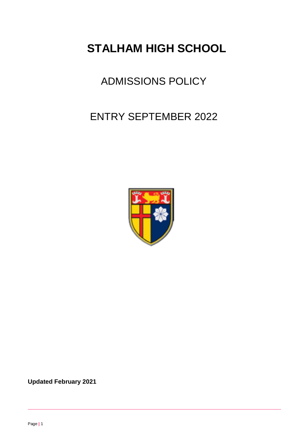# **STALHAM HIGH SCHOOL**

## ADMISSIONS POLICY

## ENTRY SEPTEMBER 2022



**Updated February 2021**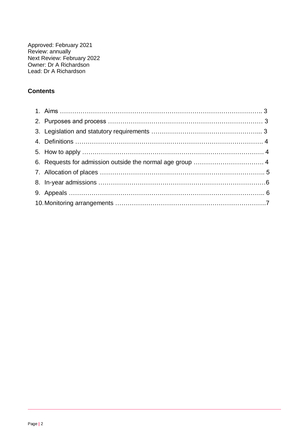Approved: February 2021 Review: annually Next Review: February 2022 Owner: Dr A Richardson Lead: Dr A Richardson

## **Contents**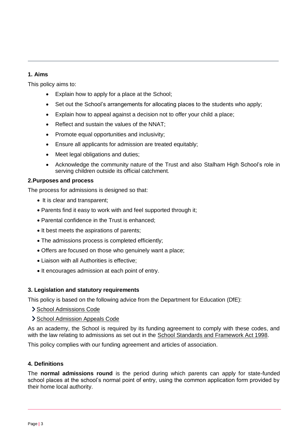## **1. Aims**

This policy aims to:

- Explain how to apply for a place at the School:
- Set out the School's arrangements for allocating places to the students who apply;
- Explain how to appeal against a decision not to offer your child a place;
- Reflect and sustain the values of the NNAT:
- Promote equal opportunities and inclusivity;
- Ensure all applicants for admission are treated equitably;
- Meet legal obligations and duties;
- Acknowledge the community nature of the Trust and also Stalham High School's role in serving children outside its official catchment.

## **2.Purposes and process**

The process for admissions is designed so that:

- It is clear and transparent;
- Parents find it easy to work with and feel supported through it;
- Parental confidence in the Trust is enhanced:
- It best meets the aspirations of parents;
- The admissions process is completed efficiently;
- Offers are focused on those who genuinely want a place;
- Liaison with all Authorities is effective;
- It encourages admission at each point of entry.

## **3. Legislation and statutory requirements**

This policy is based on the following advice from the Department for Education (DfE):

- [School Admissions Code](https://www.gov.uk/government/publications/school-admissions-code--2)
- [School Admission Appeals Code](https://www.gov.uk/government/publications/school-admissions-appeals-code)

As an academy, the School is required by its funding agreement to comply with these codes, and with the law relating to admissions as set out in the [School Standards and Framework Act 1998.](http://www.legislation.gov.uk/ukpga/1998/31/contents)

This policy complies with our funding agreement and articles of association.

## **4. Definitions**

The **normal admissions round** is the period during which parents can apply for state-funded school places at the school's normal point of entry, using the common application form provided by their home local authority.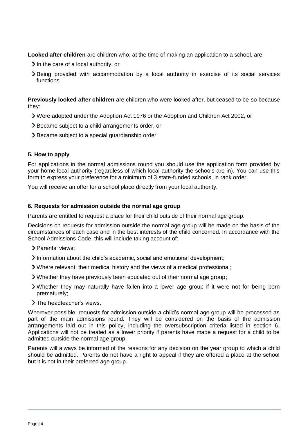**Looked after children** are children who, at the time of making an application to a school, are:

- $\geq$  In the care of a local authority, or
- Being provided with accommodation by a local authority in exercise of its social services functions

**Previously looked after children** are children who were looked after, but ceased to be so because they:

- Were adopted under the Adoption Act 1976 or the Adoption and Children Act 2002, or
- Became subject to a child arrangements order, or
- > Became subject to a special quardianship order

#### **5. How to apply**

For applications in the normal admissions round you should use the application form provided by your home local authority (regardless of which local authority the schools are in). You can use this form to express your preference for a minimum of 3 state-funded schools, in rank order.

You will receive an offer for a school place directly from your local authority.

#### **6. Requests for admission outside the normal age group**

Parents are entitled to request a place for their child outside of their normal age group.

Decisions on requests for admission outside the normal age group will be made on the basis of the circumstances of each case and in the best interests of the child concerned. In accordance with the School Admissions Code, this will include taking account of:

- > Parents' views:
- $\sum$  Information about the child's academic, social and emotional development:
- Where relevant, their medical history and the views of a medical professional;
- Whether they have previously been educated out of their normal age group;
- Whether they may naturally have fallen into a lower age group if it were not for being born prematurely;
- > The headteacher's views.

Wherever possible, requests for admission outside a child's normal age group will be processed as part of the main admissions round. They will be considered on the basis of the admission arrangements laid out in this policy, including the oversubscription criteria listed in section 6. Applications will not be treated as a lower priority if parents have made a request for a child to be admitted outside the normal age group.

Parents will always be informed of the reasons for any decision on the year group to which a child should be admitted. Parents do not have a right to appeal if they are offered a place at the school but it is not in their preferred age group.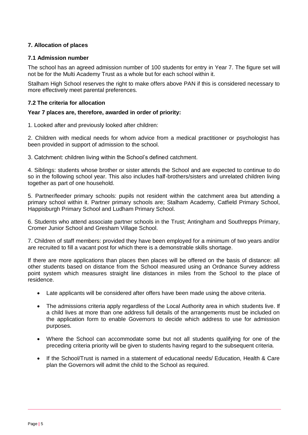## **7. Allocation of places**

#### **7.1 Admission number**

The school has an agreed admission number of 100 students for entry in Year 7. The figure set will not be for the Multi Academy Trust as a whole but for each school within it.

Stalham High School reserves the right to make offers above PAN if this is considered necessary to more effectively meet parental preferences.

#### **7.2 The criteria for allocation**

#### **Year 7 places are, therefore, awarded in order of priority:**

1. Looked after and previously looked after children:

2. Children with medical needs for whom advice from a medical practitioner or psychologist has been provided in support of admission to the school.

3. Catchment: children living within the School's defined catchment.

4. Siblings: students whose brother or sister attends the School and are expected to continue to do so in the following school year. This also includes half-brothers/sisters and unrelated children living together as part of one household.

5. Partner/feeder primary schools: pupils not resident within the catchment area but attending a primary school within it. Partner primary schools are; Stalham Academy, Catfield Primary School, Happisburgh Primary School and Ludham Primary School.

6. Students who attend associate partner schools in the Trust; Antingham and Southrepps Primary, Cromer Junior School and Gresham Village School.

7. Children of staff members: provided they have been employed for a minimum of two years and/or are recruited to fill a vacant post for which there is a demonstrable skills shortage.

If there are more applications than places then places will be offered on the basis of distance: all other students based on distance from the School measured using an Ordnance Survey address point system which measures straight line distances in miles from the School to the place of residence.

- Late applicants will be considered after offers have been made using the above criteria.
- The admissions criteria apply regardless of the Local Authority area in which students live. If a child lives at more than one address full details of the arrangements must be included on the application form to enable Governors to decide which address to use for admission purposes.
- Where the School can accommodate some but not all students qualifying for one of the preceding criteria priority will be given to students having regard to the subsequent criteria.
- If the School/Trust is named in a statement of educational needs/ Education, Health & Care plan the Governors will admit the child to the School as required.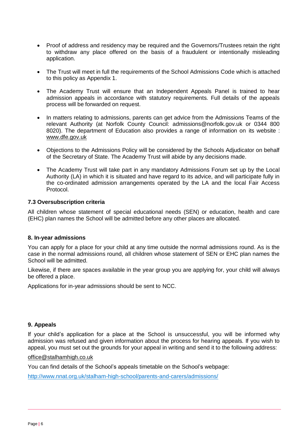- Proof of address and residency may be required and the Governors/Trustees retain the right to withdraw any place offered on the basis of a fraudulent or intentionally misleading application.
- The Trust will meet in full the requirements of the School Admissions Code which is attached to this policy as Appendix 1.
- The Academy Trust will ensure that an Independent Appeals Panel is trained to hear admission appeals in accordance with statutory requirements. Full details of the appeals process will be forwarded on request.
- In matters relating to admissions, parents can get advice from the Admissions Teams of the relevant Authority (at Norfolk County Council: admissions@norfolk.gov.uk or 0344 800 8020). The department of Education also provides a range of information on its website : [www.dfe.gov.uk](http://www.dfe.gov.uk/)
- Objections to the Admissions Policy will be considered by the Schools Adjudicator on behalf of the Secretary of State. The Academy Trust will abide by any decisions made.
- The Academy Trust will take part in any mandatory Admissions Forum set up by the Local Authority (LA) in which it is situated and have regard to its advice, and will participate fully in the co-ordinated admission arrangements operated by the LA and the local Fair Access Protocol.

## **7.3 Oversubscription criteria**

All children whose statement of special educational needs (SEN) or education, health and care (EHC) plan names the School will be admitted before any other places are allocated.

#### **8. In-year admissions**

You can apply for a place for your child at any time outside the normal admissions round. As is the case in the normal admissions round, all children whose statement of SEN or EHC plan names the School will be admitted.

Likewise, if there are spaces available in the year group you are applying for, your child will always be offered a place.

Applications for in-year admissions should be sent to NCC.

#### **9. Appeals**

If your child's application for a place at the School is unsuccessful, you will be informed why admission was refused and given information about the process for hearing appeals. If you wish to appeal, you must set out the grounds for your appeal in writing and send it to the following address:

#### [office@stalhamhigh.co.uk](mailto:office@sheringhamhigh.co.uk)

You can find details of the School's appeals timetable on the School's webpage:

<http://www.nnat.org.uk/stalham-high-school/parents-and-carers/admissions/>